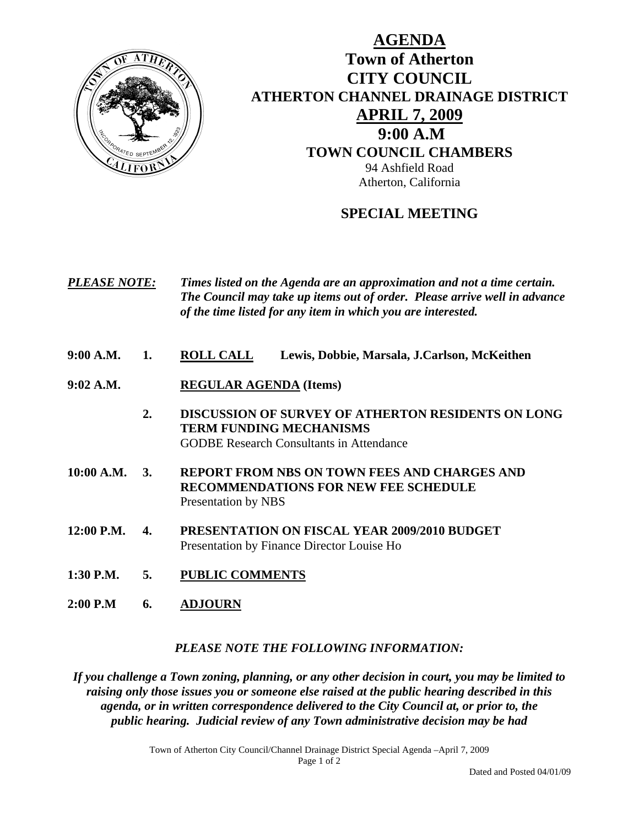

## **AGENDA Town of Atherton CITY COUNCIL ATHERTON CHANNEL DRAINAGE DISTRICT APRIL 7, 2009 9:00 A.M TOWN COUNCIL CHAMBERS** 94 Ashfield Road Atherton, California

## **SPECIAL MEETING**

| <i><b>PLEASE NOTE:</b></i> | Times listed on the Agenda are an approximation and not a time certain.   |
|----------------------------|---------------------------------------------------------------------------|
|                            | The Council may take up items out of order. Please arrive well in advance |
|                            | of the time listed for any item in which you are interested.              |

- **9:00 A.M. 1. ROLL CALL Lewis, Dobbie, Marsala, J.Carlson, McKeithen**
- **9:02 A.M. REGULAR AGENDA (Items)** 
	- **2. DISCUSSION OF SURVEY OF ATHERTON RESIDENTS ON LONG TERM FUNDING MECHANISMS**  GODBE Research Consultants in Attendance
- **10:00 A.M. 3. REPORT FROM NBS ON TOWN FEES AND CHARGES AND RECOMMENDATIONS FOR NEW FEE SCHEDULE**  Presentation by NBS
- **12:00 P.M. 4. PRESENTATION ON FISCAL YEAR 2009/2010 BUDGET** Presentation by Finance Director Louise Ho
- **1:30 P.M. 5. PUBLIC COMMENTS**
- **2:00 P.M 6. ADJOURN**

## *PLEASE NOTE THE FOLLOWING INFORMATION:*

*If you challenge a Town zoning, planning, or any other decision in court, you may be limited to raising only those issues you or someone else raised at the public hearing described in this agenda, or in written correspondence delivered to the City Council at, or prior to, the public hearing. Judicial review of any Town administrative decision may be had* 

Town of Atherton City Council/Channel Drainage District Special Agenda –April 7, 2009

Page 1 of 2